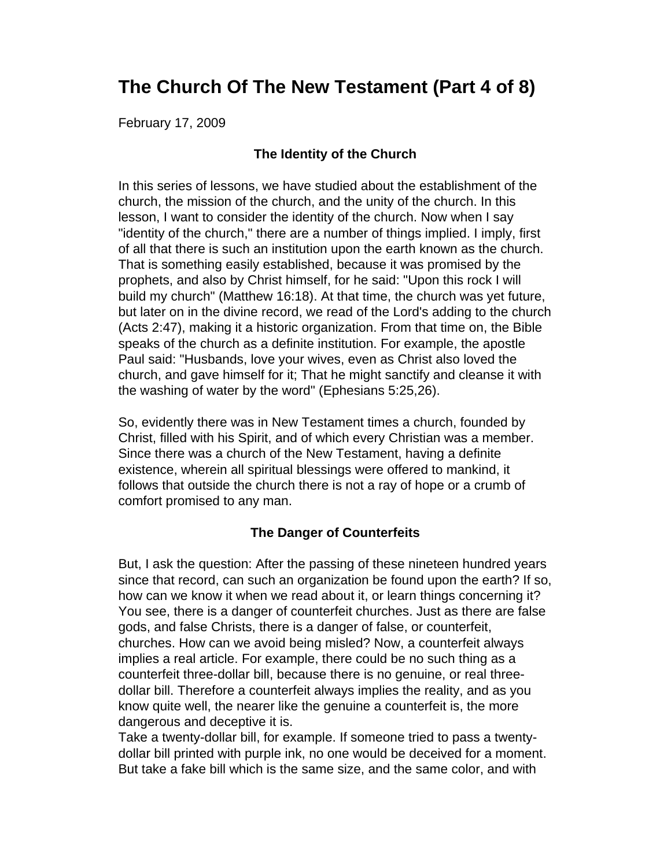# **The Church Of The New Testament (Part 4 of 8)**

February 17, 2009

# **The Identity of the Church**

In this series of lessons, we have studied about the establishment of the church, the mission of the church, and the unity of the church. In this lesson, I want to consider the identity of the church. Now when I say "identity of the church," there are a number of things implied. I imply, first of all that there is such an institution upon the earth known as the church. That is something easily established, because it was promised by the prophets, and also by Christ himself, for he said: "Upon this rock I will build my church" (Matthew 16:18). At that time, the church was yet future, but later on in the divine record, we read of the Lord's adding to the church (Acts 2:47), making it a historic organization. From that time on, the Bible speaks of the church as a definite institution. For example, the apostle Paul said: "Husbands, love your wives, even as Christ also loved the church, and gave himself for it; That he might sanctify and cleanse it with the washing of water by the word" (Ephesians 5:25,26).

So, evidently there was in New Testament times a church, founded by Christ, filled with his Spirit, and of which every Christian was a member. Since there was a church of the New Testament, having a definite existence, wherein all spiritual blessings were offered to mankind, it follows that outside the church there is not a ray of hope or a crumb of comfort promised to any man.

## **The Danger of Counterfeits**

But, I ask the question: After the passing of these nineteen hundred years since that record, can such an organization be found upon the earth? If so, how can we know it when we read about it, or learn things concerning it? You see, there is a danger of counterfeit churches. Just as there are false gods, and false Christs, there is a danger of false, or counterfeit, churches. How can we avoid being misled? Now, a counterfeit always implies a real article. For example, there could be no such thing as a counterfeit three-dollar bill, because there is no genuine, or real threedollar bill. Therefore a counterfeit always implies the reality, and as you know quite well, the nearer like the genuine a counterfeit is, the more dangerous and deceptive it is.

Take a twenty-dollar bill, for example. If someone tried to pass a twentydollar bill printed with purple ink, no one would be deceived for a moment. But take a fake bill which is the same size, and the same color, and with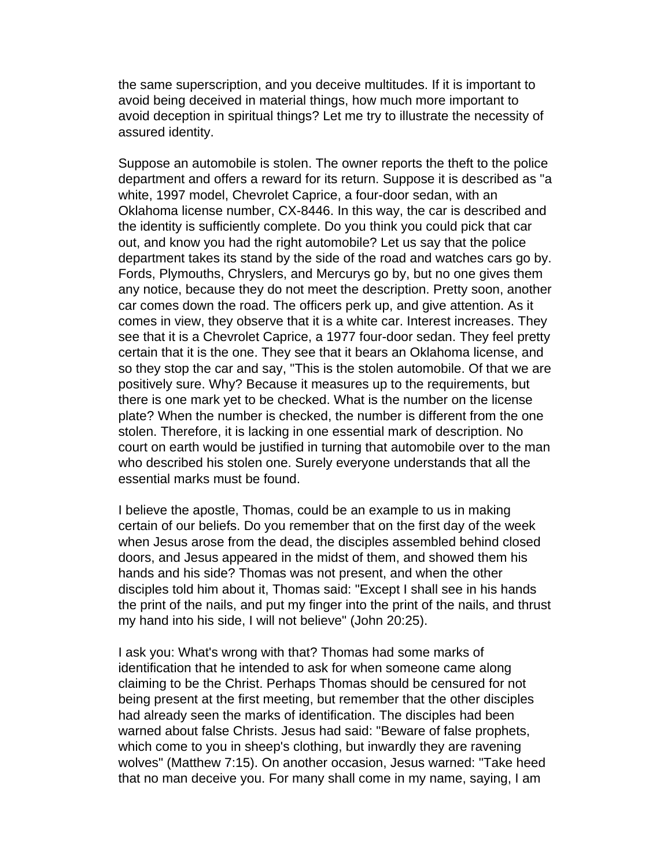the same superscription, and you deceive multitudes. If it is important to avoid being deceived in material things, how much more important to avoid deception in spiritual things? Let me try to illustrate the necessity of assured identity.

Suppose an automobile is stolen. The owner reports the theft to the police department and offers a reward for its return. Suppose it is described as "a white, 1997 model, Chevrolet Caprice, a four-door sedan, with an Oklahoma license number, CX-8446. In this way, the car is described and the identity is sufficiently complete. Do you think you could pick that car out, and know you had the right automobile? Let us say that the police department takes its stand by the side of the road and watches cars go by. Fords, Plymouths, Chryslers, and Mercurys go by, but no one gives them any notice, because they do not meet the description. Pretty soon, another car comes down the road. The officers perk up, and give attention. As it comes in view, they observe that it is a white car. Interest increases. They see that it is a Chevrolet Caprice, a 1977 four-door sedan. They feel pretty certain that it is the one. They see that it bears an Oklahoma license, and so they stop the car and say, "This is the stolen automobile. Of that we are positively sure. Why? Because it measures up to the requirements, but there is one mark yet to be checked. What is the number on the license plate? When the number is checked, the number is different from the one stolen. Therefore, it is lacking in one essential mark of description. No court on earth would be justified in turning that automobile over to the man who described his stolen one. Surely everyone understands that all the essential marks must be found.

I believe the apostle, Thomas, could be an example to us in making certain of our beliefs. Do you remember that on the first day of the week when Jesus arose from the dead, the disciples assembled behind closed doors, and Jesus appeared in the midst of them, and showed them his hands and his side? Thomas was not present, and when the other disciples told him about it, Thomas said: "Except I shall see in his hands the print of the nails, and put my finger into the print of the nails, and thrust my hand into his side, I will not believe" (John 20:25).

I ask you: What's wrong with that? Thomas had some marks of identification that he intended to ask for when someone came along claiming to be the Christ. Perhaps Thomas should be censured for not being present at the first meeting, but remember that the other disciples had already seen the marks of identification. The disciples had been warned about false Christs. Jesus had said: "Beware of false prophets, which come to you in sheep's clothing, but inwardly they are ravening wolves" (Matthew 7:15). On another occasion, Jesus warned: "Take heed that no man deceive you. For many shall come in my name, saying, I am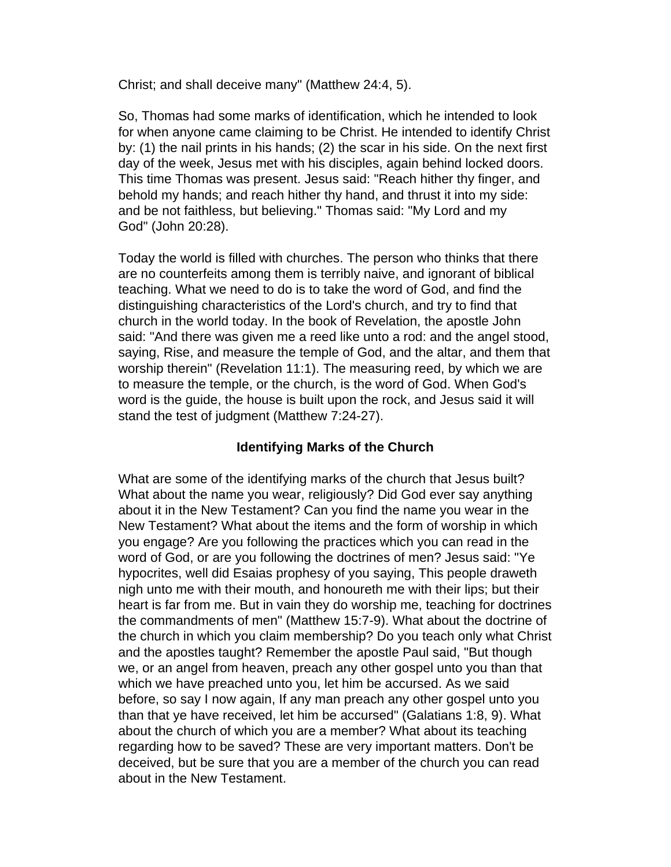Christ; and shall deceive many" (Matthew 24:4, 5).

So, Thomas had some marks of identification, which he intended to look for when anyone came claiming to be Christ. He intended to identify Christ by: (1) the nail prints in his hands; (2) the scar in his side. On the next first day of the week, Jesus met with his disciples, again behind locked doors. This time Thomas was present. Jesus said: "Reach hither thy finger, and behold my hands; and reach hither thy hand, and thrust it into my side: and be not faithless, but believing." Thomas said: "My Lord and my God" (John 20:28).

Today the world is filled with churches. The person who thinks that there are no counterfeits among them is terribly naive, and ignorant of biblical teaching. What we need to do is to take the word of God, and find the distinguishing characteristics of the Lord's church, and try to find that church in the world today. In the book of Revelation, the apostle John said: "And there was given me a reed like unto a rod: and the angel stood, saying, Rise, and measure the temple of God, and the altar, and them that worship therein" (Revelation 11:1). The measuring reed, by which we are to measure the temple, or the church, is the word of God. When God's word is the guide, the house is built upon the rock, and Jesus said it will stand the test of judgment (Matthew 7:24-27).

# **Identifying Marks of the Church**

What are some of the identifying marks of the church that Jesus built? What about the name you wear, religiously? Did God ever say anything about it in the New Testament? Can you find the name you wear in the New Testament? What about the items and the form of worship in which you engage? Are you following the practices which you can read in the word of God, or are you following the doctrines of men? Jesus said: "Ye hypocrites, well did Esaias prophesy of you saying, This people draweth nigh unto me with their mouth, and honoureth me with their lips; but their heart is far from me. But in vain they do worship me, teaching for doctrines the commandments of men" (Matthew 15:7-9). What about the doctrine of the church in which you claim membership? Do you teach only what Christ and the apostles taught? Remember the apostle Paul said, "But though we, or an angel from heaven, preach any other gospel unto you than that which we have preached unto you, let him be accursed. As we said before, so say I now again, If any man preach any other gospel unto you than that ye have received, let him be accursed" (Galatians 1:8, 9). What about the church of which you are a member? What about its teaching regarding how to be saved? These are very important matters. Don't be deceived, but be sure that you are a member of the church you can read about in the New Testament.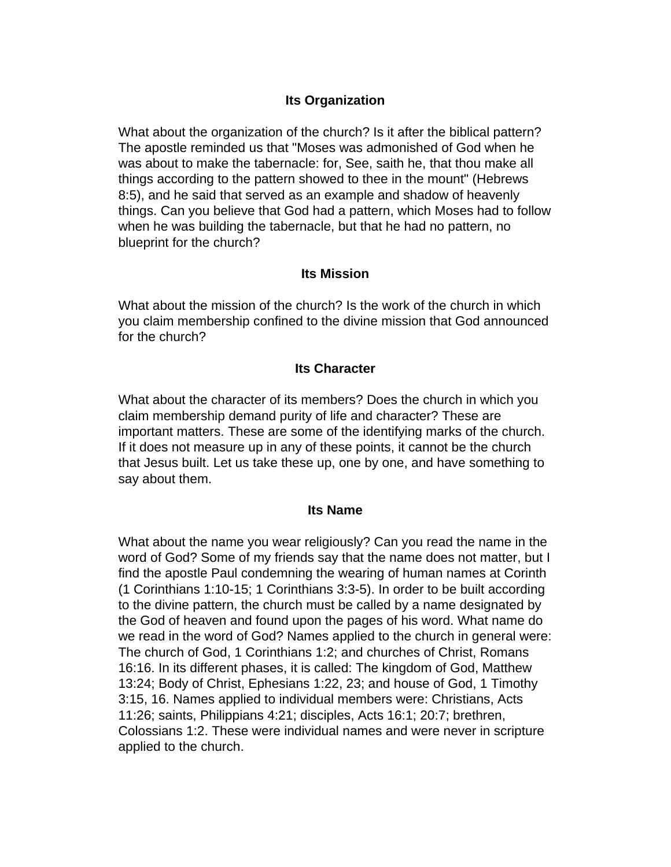# **Its Organization**

What about the organization of the church? Is it after the biblical pattern? The apostle reminded us that "Moses was admonished of God when he was about to make the tabernacle: for, See, saith he, that thou make all things according to the pattern showed to thee in the mount" (Hebrews 8:5), and he said that served as an example and shadow of heavenly things. Can you believe that God had a pattern, which Moses had to follow when he was building the tabernacle, but that he had no pattern, no blueprint for the church?

### **Its Mission**

What about the mission of the church? Is the work of the church in which you claim membership confined to the divine mission that God announced for the church?

#### **Its Character**

What about the character of its members? Does the church in which you claim membership demand purity of life and character? These are important matters. These are some of the identifying marks of the church. If it does not measure up in any of these points, it cannot be the church that Jesus built. Let us take these up, one by one, and have something to say about them.

#### **Its Name**

What about the name you wear religiously? Can you read the name in the word of God? Some of my friends say that the name does not matter, but I find the apostle Paul condemning the wearing of human names at Corinth (1 Corinthians 1:10-15; 1 Corinthians 3:3-5). In order to be built according to the divine pattern, the church must be called by a name designated by the God of heaven and found upon the pages of his word. What name do we read in the word of God? Names applied to the church in general were: The church of God, 1 Corinthians 1:2; and churches of Christ, Romans 16:16. In its different phases, it is called: The kingdom of God, Matthew 13:24; Body of Christ, Ephesians 1:22, 23; and house of God, 1 Timothy 3:15, 16. Names applied to individual members were: Christians, Acts 11:26; saints, Philippians 4:21; disciples, Acts 16:1; 20:7; brethren, Colossians 1:2. These were individual names and were never in scripture applied to the church.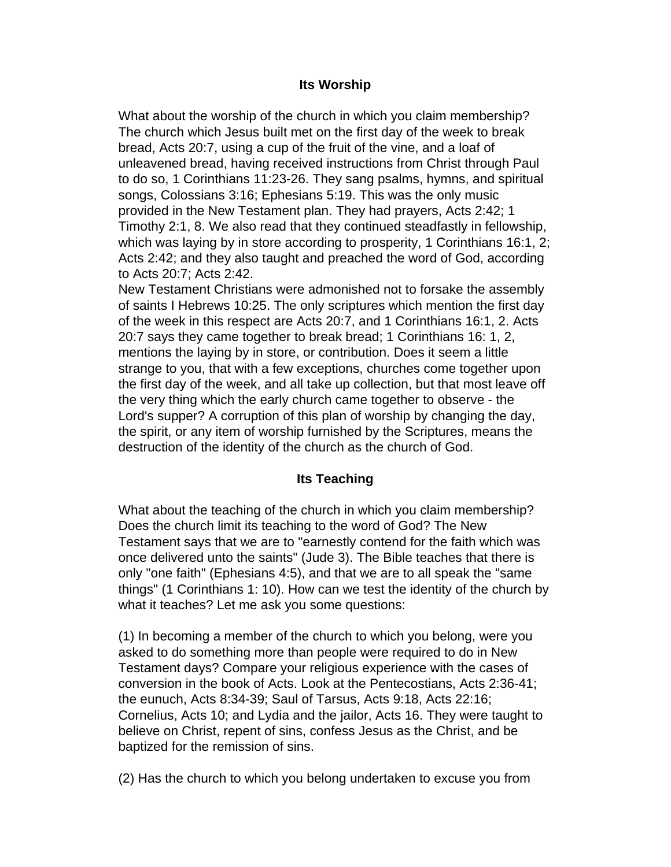## **Its Worship**

What about the worship of the church in which you claim membership? The church which Jesus built met on the first day of the week to break bread, Acts 20:7, using a cup of the fruit of the vine, and a loaf of unleavened bread, having received instructions from Christ through Paul to do so, 1 Corinthians 11:23-26. They sang psalms, hymns, and spiritual songs, Colossians 3:16; Ephesians 5:19. This was the only music provided in the New Testament plan. They had prayers, Acts 2:42; 1 Timothy 2:1, 8. We also read that they continued steadfastly in fellowship, which was laying by in store according to prosperity, 1 Corinthians 16:1, 2; Acts 2:42; and they also taught and preached the word of God, according to Acts 20:7; Acts 2:42.

New Testament Christians were admonished not to forsake the assembly of saints I Hebrews 10:25. The only scriptures which mention the first day of the week in this respect are Acts 20:7, and 1 Corinthians 16:1, 2. Acts 20:7 says they came together to break bread; 1 Corinthians 16: 1, 2, mentions the laying by in store, or contribution. Does it seem a little strange to you, that with a few exceptions, churches come together upon the first day of the week, and all take up collection, but that most leave off the very thing which the early church came together to observe - the Lord's supper? A corruption of this plan of worship by changing the day, the spirit, or any item of worship furnished by the Scriptures, means the destruction of the identity of the church as the church of God.

## **Its Teaching**

What about the teaching of the church in which you claim membership? Does the church limit its teaching to the word of God? The New Testament says that we are to "earnestly contend for the faith which was once delivered unto the saints" (Jude 3). The Bible teaches that there is only "one faith" (Ephesians 4:5), and that we are to all speak the "same things" (1 Corinthians 1: 10). How can we test the identity of the church by what it teaches? Let me ask you some questions:

(1) In becoming a member of the church to which you belong, were you asked to do something more than people were required to do in New Testament days? Compare your religious experience with the cases of conversion in the book of Acts. Look at the Pentecostians, Acts 2:36-41; the eunuch, Acts 8:34-39; Saul of Tarsus, Acts 9:18, Acts 22:16; Cornelius, Acts 10; and Lydia and the jailor, Acts 16. They were taught to believe on Christ, repent of sins, confess Jesus as the Christ, and be baptized for the remission of sins.

(2) Has the church to which you belong undertaken to excuse you from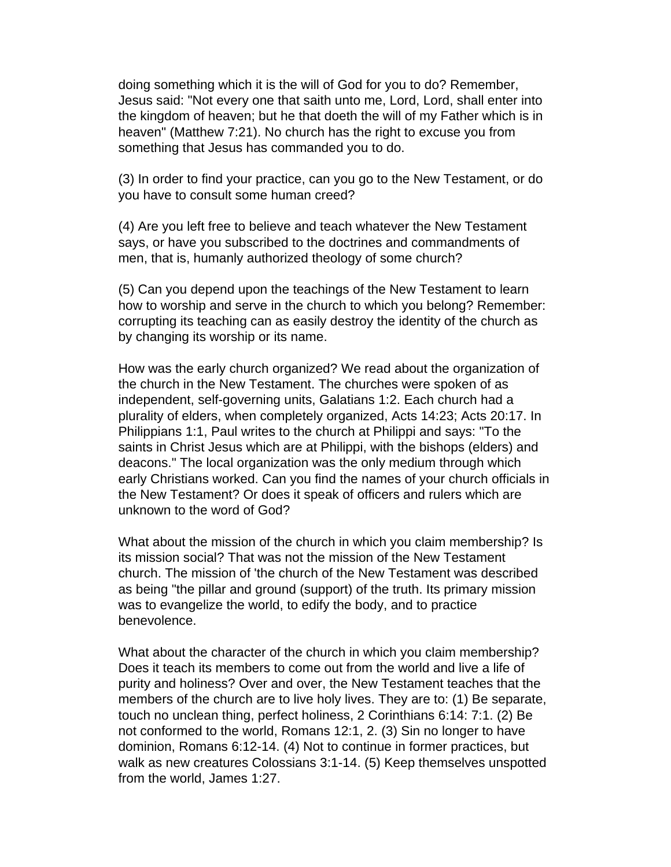doing something which it is the will of God for you to do? Remember, Jesus said: "Not every one that saith unto me, Lord, Lord, shall enter into the kingdom of heaven; but he that doeth the will of my Father which is in heaven" (Matthew 7:21). No church has the right to excuse you from something that Jesus has commanded you to do.

(3) In order to find your practice, can you go to the New Testament, or do you have to consult some human creed?

(4) Are you left free to believe and teach whatever the New Testament says, or have you subscribed to the doctrines and commandments of men, that is, humanly authorized theology of some church?

(5) Can you depend upon the teachings of the New Testament to learn how to worship and serve in the church to which you belong? Remember: corrupting its teaching can as easily destroy the identity of the church as by changing its worship or its name.

How was the early church organized? We read about the organization of the church in the New Testament. The churches were spoken of as independent, self-governing units, Galatians 1:2. Each church had a plurality of elders, when completely organized, Acts 14:23; Acts 20:17. In Philippians 1:1, Paul writes to the church at Philippi and says: "To the saints in Christ Jesus which are at Philippi, with the bishops (elders) and deacons." The local organization was the only medium through which early Christians worked. Can you find the names of your church officials in the New Testament? Or does it speak of officers and rulers which are unknown to the word of God?

What about the mission of the church in which you claim membership? Is its mission social? That was not the mission of the New Testament church. The mission of 'the church of the New Testament was described as being "the pillar and ground (support) of the truth. Its primary mission was to evangelize the world, to edify the body, and to practice benevolence.

What about the character of the church in which you claim membership? Does it teach its members to come out from the world and live a life of purity and holiness? Over and over, the New Testament teaches that the members of the church are to live holy lives. They are to: (1) Be separate, touch no unclean thing, perfect holiness, 2 Corinthians 6:14: 7:1. (2) Be not conformed to the world, Romans 12:1, 2. (3) Sin no longer to have dominion, Romans 6:12-14. (4) Not to continue in former practices, but walk as new creatures Colossians 3:1-14. (5) Keep themselves unspotted from the world, James 1:27.